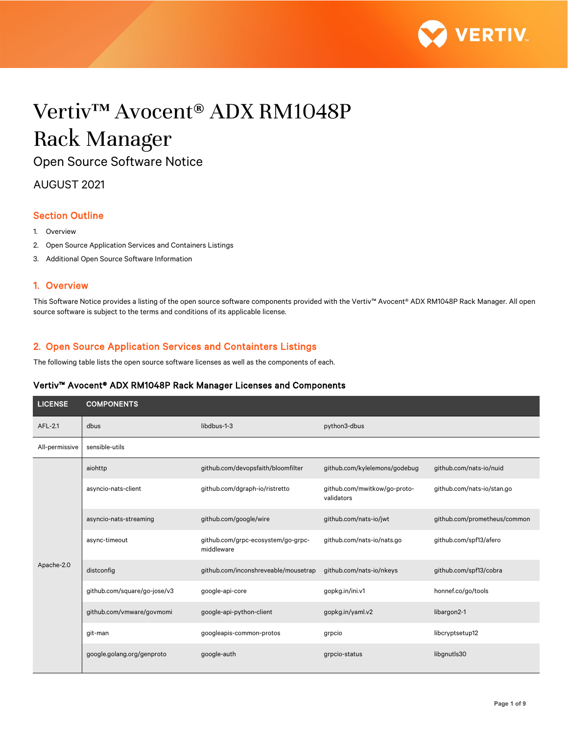

# Vertiv™ Avocent® ADX RM1048P Rack Manager

Open Source Software Notice

AUGUST 2021

## Section Outline

- 1. Overview
- 2. Open Source Application Services and Containers Listings
- 3. Additional Open Source Software Information

### 1. Overview

This Software Notice provides a listing of the open source software components provided with the Vertiv™ Avocent® ADX RM1048P Rack Manager. All open source software is subject to the terms and conditions of its applicable license.

## 2. Open Source Application Services and Containters Listings

The following table lists the open source software licenses as well as the components of each.

#### Vertiv™ Avocent® ADX RM1048P Rack Manager Licenses and Components

| <b>LICENSE</b> | <b>COMPONENTS</b>            |                                                  |                                            |                              |
|----------------|------------------------------|--------------------------------------------------|--------------------------------------------|------------------------------|
| AFL-2.1        | dbus                         | libdbus-1-3                                      | python3-dbus                               |                              |
| All-permissive | sensible-utils               |                                                  |                                            |                              |
|                | aiohttp                      | github.com/devopsfaith/bloomfilter               | github.com/kylelemons/godebug              | github.com/nats-io/nuid      |
|                | asyncio-nats-client          | github.com/dgraph-io/ristretto                   | github.com/mwitkow/go-proto-<br>validators | github.com/nats-io/stan.go   |
|                | asyncio-nats-streaming       | github.com/google/wire                           | github.com/nats-io/jwt                     | github.com/prometheus/common |
| Apache-2.0     | async-timeout                | github.com/grpc-ecosystem/go-grpc-<br>middleware | github.com/nats-io/nats.go                 | github.com/spf13/afero       |
|                | distconfig                   | github.com/inconshreveable/mousetrap             | github.com/nats-io/nkeys                   | github.com/spf13/cobra       |
|                | github.com/square/go-jose/v3 | google-api-core                                  | gopkg.in/ini.v1                            | honnef.co/go/tools           |
|                | github.com/vmware/govmomi    | google-api-python-client                         | gopkg.in/yaml.v2                           | libargon2-1                  |
|                | git-man                      | googleapis-common-protos                         | grpcio                                     | libcryptsetup12              |
|                | google.golang.org/genproto   | google-auth                                      | grpcio-status                              | libgnutls30                  |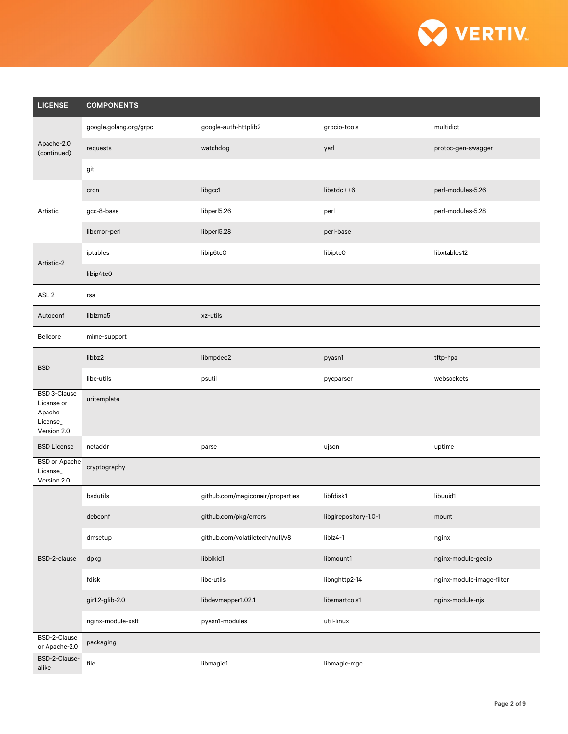

| <b>LICENSE</b>                                                         | <b>COMPONENTS</b>      |                                  |                       |                           |  |
|------------------------------------------------------------------------|------------------------|----------------------------------|-----------------------|---------------------------|--|
| Apache-2.0<br>(continued)                                              | google.golang.org/grpc | google-auth-httplib2             | grpcio-tools          | multidict                 |  |
|                                                                        | requests               | watchdog                         | yarl                  | protoc-gen-swagger        |  |
|                                                                        | git                    |                                  |                       |                           |  |
|                                                                        | cron                   | libgcc1                          | libstdc++6            | perl-modules-5.26         |  |
| Artistic                                                               | gcc-8-base             | libperl5.26                      | perl                  | perl-modules-5.28         |  |
|                                                                        | liberror-perl          | libperl5.28                      | perl-base             |                           |  |
| Artistic-2                                                             | iptables               | libip6tc0                        | libiptc0              | libxtables12              |  |
|                                                                        | libip4tc0              |                                  |                       |                           |  |
| ASL <sub>2</sub>                                                       | rsa                    |                                  |                       |                           |  |
| Autoconf                                                               | liblzma5               | xz-utils                         |                       |                           |  |
| Bellcore                                                               | mime-support           |                                  |                       |                           |  |
| <b>BSD</b>                                                             | libbz2                 | libmpdec2                        | pyasn1                | tftp-hpa                  |  |
|                                                                        | libc-utils             | psutil                           | pycparser             | websockets                |  |
| <b>BSD 3-Clause</b><br>License or<br>Apache<br>License_<br>Version 2.0 | uritemplate            |                                  |                       |                           |  |
| <b>BSD License</b>                                                     | netaddr                | parse                            | ujson                 | uptime                    |  |
| <b>BSD</b> or Apache<br>License_<br>Version 2.0                        | cryptography           |                                  |                       |                           |  |
|                                                                        | bsdutils               | github.com/magiconair/properties | libfdisk1             | libuuid1                  |  |
|                                                                        | debconf                | github.com/pkg/errors            | libgirepository-1.0-1 | mount                     |  |
| BSD-2-clause                                                           | dmsetup                | github.com/volatiletech/null/v8  | liblz4-1              | nginx                     |  |
|                                                                        | dpkg                   | libblkid1                        | libmount1             | nginx-module-geoip        |  |
|                                                                        | fdisk                  | libc-utils                       | libnghttp2-14         | nginx-module-image-filter |  |
|                                                                        | gir1.2-glib-2.0        | libdevmapper1.02.1               | libsmartcols1         | nginx-module-njs          |  |
|                                                                        | nginx-module-xslt      | pyasn1-modules                   | util-linux            |                           |  |
| BSD-2-Clause<br>or Apache-2.0                                          | packaging              |                                  |                       |                           |  |
| BSD-2-Clause-<br>alike                                                 | file                   | libmagic1                        | libmagic-mgc          |                           |  |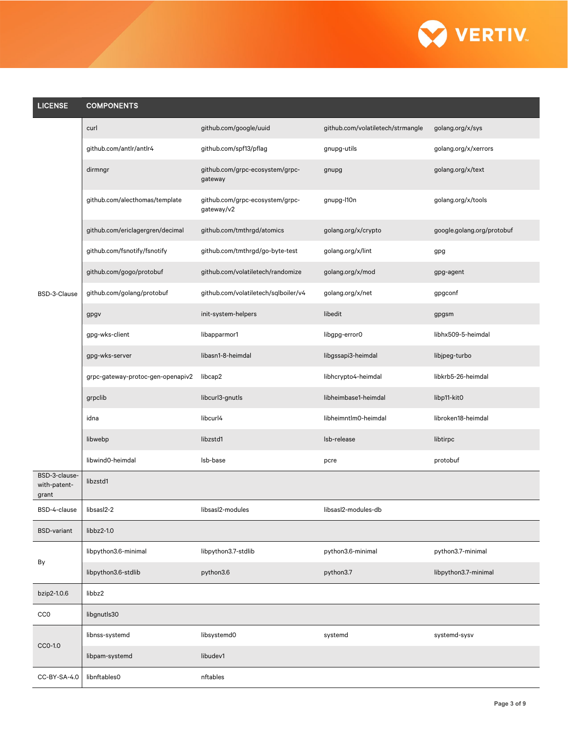

| <b>LICENSE</b>                         | <b>COMPONENTS</b>                 |                                               |                                   |                            |
|----------------------------------------|-----------------------------------|-----------------------------------------------|-----------------------------------|----------------------------|
|                                        | curl                              | github.com/google/uuid                        | github.com/volatiletech/strmangle | golang.org/x/sys           |
|                                        | github.com/antlr/antlr4           | github.com/spf13/pflag                        | gnupg-utils                       | golang.org/x/xerrors       |
|                                        | dirmngr                           | github.com/grpc-ecosystem/grpc-<br>gateway    | gnupg                             | golang.org/x/text          |
|                                        | github.com/alecthomas/template    | github.com/grpc-ecosystem/grpc-<br>gateway/v2 | gnupg-l10n                        | golang.org/x/tools         |
|                                        | github.com/ericlagergren/decimal  | github.com/tmthrgd/atomics                    | golang.org/x/crypto               | google.golang.org/protobuf |
|                                        | github.com/fsnotify/fsnotify      | github.com/tmthrgd/go-byte-test               | golang.org/x/lint                 | gpg                        |
|                                        | github.com/gogo/protobuf          | github.com/volatiletech/randomize             | golang.org/x/mod                  | gpg-agent                  |
| BSD-3-Clause                           | github.com/golang/protobuf        | github.com/volatiletech/sqlboiler/v4          | golang.org/x/net                  | gpgconf                    |
|                                        | gpgv                              | init-system-helpers                           | libedit                           | gpgsm                      |
|                                        | gpg-wks-client                    | libapparmor1                                  | libgpg-error0                     | libhx509-5-heimdal         |
|                                        | gpg-wks-server                    | libasn1-8-heimdal                             | libgssapi3-heimdal                | libjpeg-turbo              |
|                                        | grpc-gateway-protoc-gen-openapiv2 | libcap2                                       | libhcrypto4-heimdal               | libkrb5-26-heimdal         |
|                                        | grpclib                           | libcurl3-gnutls                               | libheimbase1-heimdal              | libp11-kit0                |
|                                        | idna                              | libcurl4                                      | libheimntlm0-heimdal              | libroken18-heimdal         |
|                                        | libwebp                           | libzstd1                                      | Isb-release                       | libtirpc                   |
|                                        | libwind0-heimdal                  | Isb-base                                      | pcre                              | protobuf                   |
| BSD-3-clause-<br>with-patent-<br>grant | libzstd1                          |                                               |                                   |                            |
| BSD-4-clause                           | libsasl2-2                        | libsasl2-modules                              | libsasl2-modules-db               |                            |
| <b>BSD-variant</b>                     | libbz2-1.0                        |                                               |                                   |                            |
| By                                     | libpython3.6-minimal              | libpython3.7-stdlib                           | python3.6-minimal                 | python3.7-minimal          |
|                                        | libpython3.6-stdlib               | python3.6                                     | python3.7                         | libpython3.7-minimal       |
| bzip2-1.0.6                            | libbz2                            |                                               |                                   |                            |
| CC <sub>0</sub>                        | libgnutls30                       |                                               |                                   |                            |
| CCO-1.0                                | libnss-systemd                    | libsystemd0                                   | systemd                           | systemd-sysv               |
|                                        | libpam-systemd                    | libudev1                                      |                                   |                            |
| CC-BY-SA-4.0                           | libnftables0                      | nftables                                      |                                   |                            |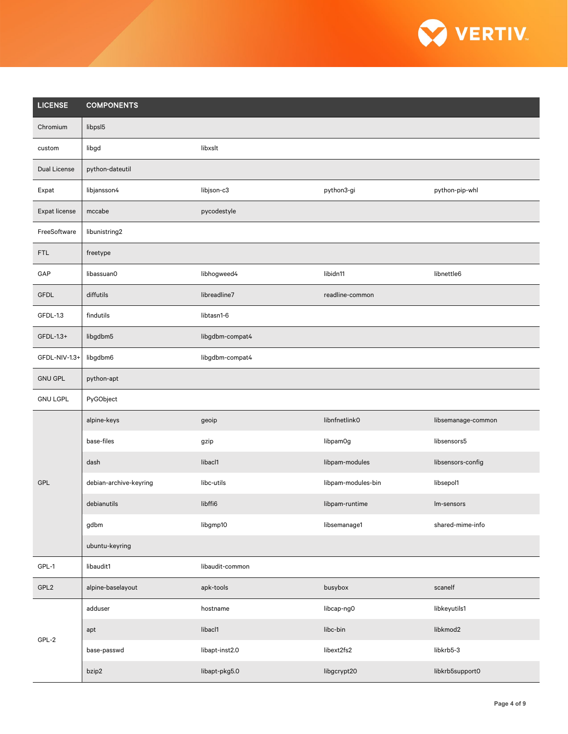

| <b>LICENSE</b>      | <b>COMPONENTS</b>      |                 |                    |                    |
|---------------------|------------------------|-----------------|--------------------|--------------------|
| Chromium            | libpsl5                |                 |                    |                    |
| custom              | libgd                  | libxslt         |                    |                    |
| <b>Dual License</b> | python-dateutil        |                 |                    |                    |
| Expat               | libjansson4            | libjson-c3      | python3-gi         | python-pip-whl     |
| Expat license       | mccabe                 | pycodestyle     |                    |                    |
| FreeSoftware        | libunistring2          |                 |                    |                    |
| <b>FTL</b>          | freetype               |                 |                    |                    |
| GAP                 | libassuan0             | libhogweed4     | libidn11           | libnettle6         |
| <b>GFDL</b>         | diffutils              | libreadline7    | readline-common    |                    |
| GFDL-1.3            | findutils              | libtasn1-6      |                    |                    |
| GFDL-1.3+           | libgdbm5               | libgdbm-compat4 |                    |                    |
| GFDL-NIV-1.3+       | libgdbm6               | libgdbm-compat4 |                    |                    |
| <b>GNU GPL</b>      | python-apt             |                 |                    |                    |
| <b>GNU LGPL</b>     | PyGObject              |                 |                    |                    |
|                     | alpine-keys            | geoip           | libnfnetlink0      | libsemanage-common |
|                     | base-files             | gzip            | libpam0g           | libsensors5        |
|                     | dash                   | libacl1         | libpam-modules     | libsensors-config  |
| GPL                 | debian-archive-keyring | libc-utils      | libpam-modules-bin | libsepol1          |
|                     | debianutils            | libffi6         | libpam-runtime     | Im-sensors         |
|                     | gdbm                   | libgmp10        | libsemanage1       | shared-mime-info   |
|                     | ubuntu-keyring         |                 |                    |                    |
| GPL-1               | libaudit1              | libaudit-common |                    |                    |
| GPL <sub>2</sub>    | alpine-baselayout      | apk-tools       | busybox            | scanelf            |
|                     | adduser                | hostname        | libcap-ng0         | libkeyutils1       |
| GPL-2               | apt                    | libacl1         | libc-bin           | libkmod2           |
|                     | base-passwd            | libapt-inst2.0  | libext2fs2         | libkrb5-3          |
|                     | bzip2                  | libapt-pkg5.0   | libgcrypt20        | libkrb5support0    |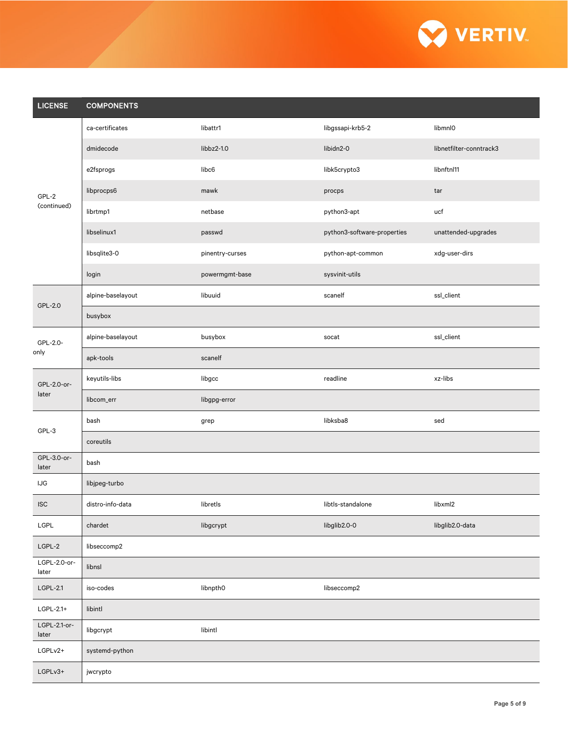

| <b>LICENSE</b>        | <b>COMPONENTS</b> |                 |                             |                         |
|-----------------------|-------------------|-----------------|-----------------------------|-------------------------|
|                       | ca-certificates   | libattr1        | libgssapi-krb5-2            | libmnl0                 |
|                       | dmidecode         | libbz2-1.0      | libidn2-0                   | libnetfilter-conntrack3 |
|                       | e2fsprogs         | libc6           | libk5crypto3                | libnftnl11              |
| GPL-2                 | libprocps6        | mawk            | procps                      | tar                     |
| (continued)           | librtmp1          | netbase         | python3-apt                 | ucf                     |
|                       | libselinux1       | passwd          | python3-software-properties | unattended-upgrades     |
|                       | libsqlite3-0      | pinentry-curses | python-apt-common           | xdg-user-dirs           |
|                       | login             | powermgmt-base  | sysvinit-utils              |                         |
| GPL-2.0               | alpine-baselayout | libuuid         | scanelf                     | ssl_client              |
|                       | busybox           |                 |                             |                         |
| GPL-2.0-              | alpine-baselayout | busybox         | socat                       | ssl_client              |
| only                  | apk-tools         | scanelf         |                             |                         |
| GPL-2.0-or-           | keyutils-libs     | libgcc          | readline                    | xz-libs                 |
| later                 | libcom_err        | libgpg-error    |                             |                         |
| GPL-3                 | bash              | grep            | libksba8                    | sed                     |
|                       | coreutils         |                 |                             |                         |
| GPL-3.0-or-<br>later  | bash              |                 |                             |                         |
| <b>IJG</b>            | libjpeg-turbo     |                 |                             |                         |
| <b>ISC</b>            | distro-info-data  | libretls        | libtls-standalone           | libxml2                 |
| LGPL                  | chardet           | libgcrypt       | libglib2.0-0                | libglib2.0-data         |
| $LGPL-2$              | libseccomp2       |                 |                             |                         |
| LGPL-2.0-or-<br>later | libnsl            |                 |                             |                         |
| $LGPL-2.1$            | iso-codes         | libnpth0        | libseccomp2                 |                         |
| LGPL-2.1+             | libintl           |                 |                             |                         |
| LGPL-2.1-or-<br>later | libgcrypt         | libintl         |                             |                         |
| LGPLv2+               | systemd-python    |                 |                             |                         |
| $LGPLv3+$             | jwcrypto          |                 |                             |                         |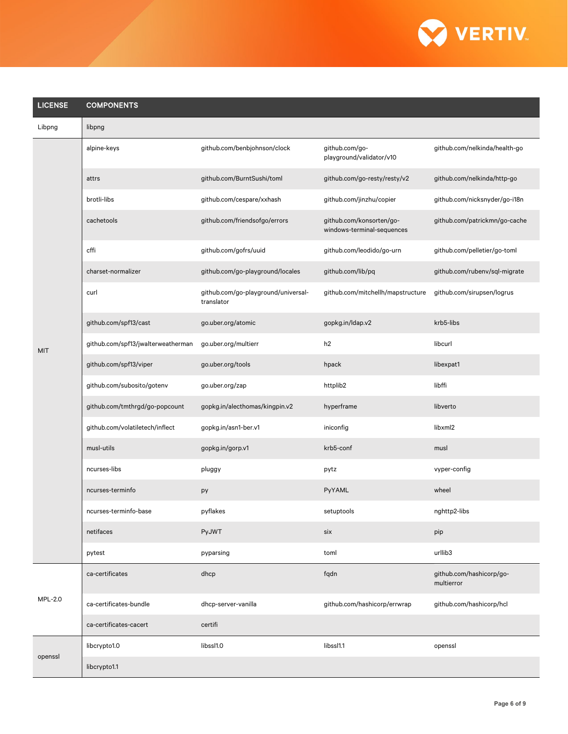

| <b>LICENSE</b> | <b>COMPONENTS</b>                  |                                                   |                                                        |                                        |
|----------------|------------------------------------|---------------------------------------------------|--------------------------------------------------------|----------------------------------------|
| Libpng         | libpng                             |                                                   |                                                        |                                        |
|                | alpine-keys                        | github.com/benbjohnson/clock                      | github.com/go-<br>playground/validator/v10             | github.com/nelkinda/health-go          |
|                | attrs                              | github.com/BurntSushi/toml                        | github.com/go-resty/resty/v2                           | github.com/nelkinda/http-go            |
|                | brotli-libs                        | github.com/cespare/xxhash                         | github.com/jinzhu/copier                               | github.com/nicksnyder/go-i18n          |
|                | cachetools                         | github.com/friendsofgo/errors                     | github.com/konsorten/go-<br>windows-terminal-sequences | github.com/patrickmn/go-cache          |
|                | cffi                               | github.com/gofrs/uuid                             | github.com/leodido/go-urn                              | github.com/pelletier/go-toml           |
|                | charset-normalizer                 | github.com/go-playground/locales                  | github.com/lib/pq                                      | github.com/rubenv/sql-migrate          |
|                | curl                               | github.com/go-playground/universal-<br>translator | github.com/mitchellh/mapstructure                      | github.com/sirupsen/logrus             |
|                | github.com/spf13/cast              | go.uber.org/atomic                                | gopkg.in/Idap.v2                                       | krb5-libs                              |
| <b>MIT</b>     | github.com/spf13/jwalterweatherman | go.uber.org/multierr                              | h2                                                     | libcurl                                |
|                | github.com/spf13/viper             | go.uber.org/tools                                 | hpack                                                  | libexpat1                              |
|                | github.com/subosito/gotenv         | go.uber.org/zap                                   | httplib2                                               | libffi                                 |
|                | github.com/tmthrgd/go-popcount     | gopkg.in/alecthomas/kingpin.v2                    | hyperframe                                             | libverto                               |
|                | github.com/volatiletech/inflect    | gopkg.in/asn1-ber.v1                              | iniconfig                                              | libxml <sub>2</sub>                    |
|                | musl-utils                         | gopkg.in/gorp.v1                                  | krb5-conf                                              | musl                                   |
|                | ncurses-libs                       | pluggy                                            | pytz                                                   | vyper-config                           |
|                | ncurses-terminfo                   | py                                                | PyYAML                                                 | wheel                                  |
|                | ncurses-terminfo-base              | pyflakes                                          | setuptools                                             | nghttp2-libs                           |
|                | netifaces                          | PyJWT                                             | six                                                    | pip                                    |
|                | pytest                             | pyparsing                                         | toml                                                   | urllib3                                |
|                | ca-certificates                    | dhcp                                              | fqdn                                                   | github.com/hashicorp/go-<br>multierror |
| <b>MPL-2.0</b> | ca-certificates-bundle             | dhcp-server-vanilla                               | github.com/hashicorp/errwrap                           | github.com/hashicorp/hcl               |
|                | ca-certificates-cacert             | certifi                                           |                                                        |                                        |
|                | libcrypto1.0                       | libssl1.0                                         | libssl1.1                                              | openssl                                |
| openssl        | libcrypto1.1                       |                                                   |                                                        |                                        |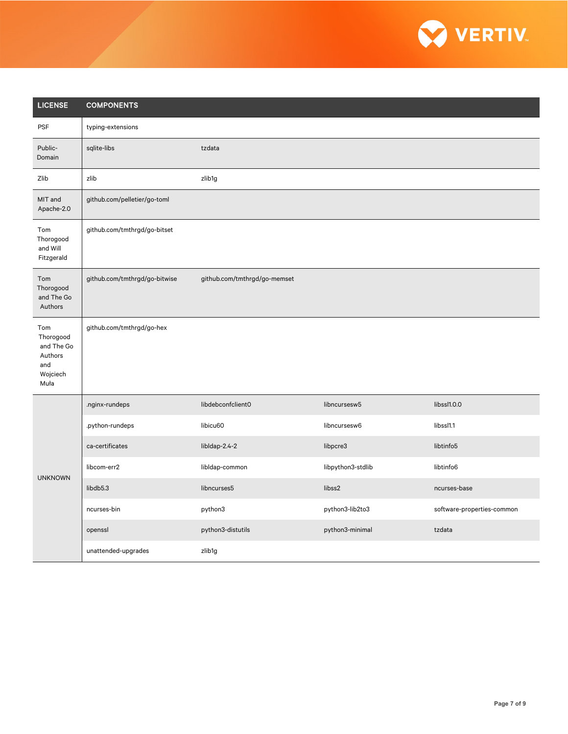

| <b>LICENSE</b>                                                       | <b>COMPONENTS</b>             |                              |                   |                            |  |
|----------------------------------------------------------------------|-------------------------------|------------------------------|-------------------|----------------------------|--|
| <b>PSF</b>                                                           | typing-extensions             |                              |                   |                            |  |
| Public-<br>Domain                                                    | sqlite-libs                   | tzdata                       |                   |                            |  |
| Zlib                                                                 | zlib                          | zlib1g                       |                   |                            |  |
| MIT and<br>Apache-2.0                                                | github.com/pelletier/go-toml  |                              |                   |                            |  |
| Tom<br>Thorogood<br>and Will<br>Fitzgerald                           | github.com/tmthrgd/go-bitset  |                              |                   |                            |  |
| Tom<br>Thorogood<br>and The Go<br>Authors                            | github.com/tmthrgd/go-bitwise | github.com/tmthrgd/go-memset |                   |                            |  |
| Tom<br>Thorogood<br>and The Go<br>Authors<br>and<br>Wojciech<br>Muła | github.com/tmthrgd/go-hex     |                              |                   |                            |  |
|                                                                      | .nginx-rundeps                | libdebconfclient0            | libncursesw5      | libssl1.0.0                |  |
|                                                                      | .python-rundeps               | libicu60                     | libncursesw6      | libssl1.1                  |  |
|                                                                      | ca-certificates               | libldap-2.4-2                | libpcre3          | libtinfo5                  |  |
| <b>UNKNOWN</b>                                                       | libcom-err2                   | libldap-common               | libpython3-stdlib | libtinfo6                  |  |
|                                                                      | libdb5.3                      | libncurses5                  | libss2            | ncurses-base               |  |
|                                                                      | ncurses-bin                   | python3                      | python3-lib2to3   | software-properties-common |  |
|                                                                      | openssl                       | python3-distutils            | python3-minimal   | tzdata                     |  |
|                                                                      | unattended-upgrades           | zlib1g                       |                   |                            |  |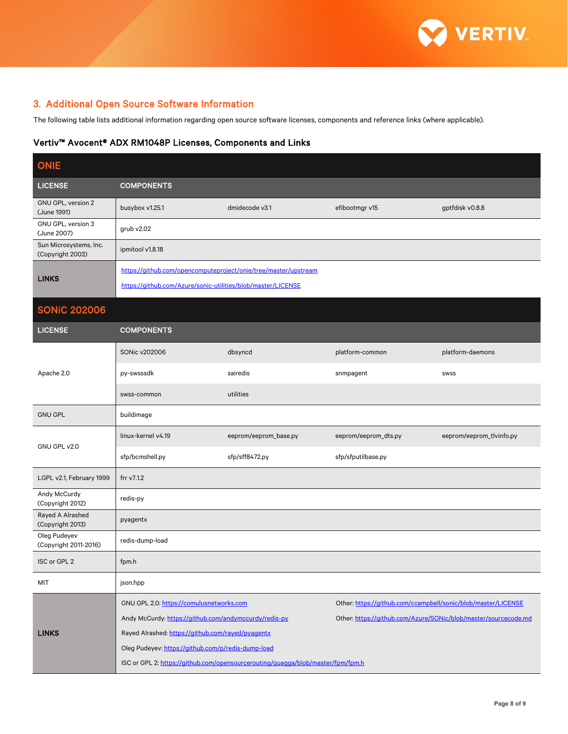

## 3. Additional Open Source Software Information

The following table lists additional information regarding open source software licenses, components and reference links (where applicable).

#### Vertiv™ Avocent® ADX RM1048P Licenses, Components and Links

| <b>ONIE</b>                                |                                                                                                                                                                                                              |                                                                                                                                 |                                                                                                                                  |                          |  |  |
|--------------------------------------------|--------------------------------------------------------------------------------------------------------------------------------------------------------------------------------------------------------------|---------------------------------------------------------------------------------------------------------------------------------|----------------------------------------------------------------------------------------------------------------------------------|--------------------------|--|--|
| <b>LICENSE</b>                             | <b>COMPONENTS</b>                                                                                                                                                                                            |                                                                                                                                 |                                                                                                                                  |                          |  |  |
| GNU GPL, version 2<br>(June 1991)          | busybox v1.25.1                                                                                                                                                                                              | dmidecode v3.1                                                                                                                  | efibootmgr v15                                                                                                                   | gptfdisk v0.8.8          |  |  |
| GNU GPL, version 3<br>(June 2007)          | grub v2.02                                                                                                                                                                                                   |                                                                                                                                 |                                                                                                                                  |                          |  |  |
| Sun Microsystems, Inc.<br>(Copyright 2003) | ipmitool v1.8.18                                                                                                                                                                                             |                                                                                                                                 |                                                                                                                                  |                          |  |  |
| <b>LINKS</b>                               |                                                                                                                                                                                                              | https://github.com/opencomputeproject/onie/tree/master/upstream<br>https://github.com/Azure/sonic-utilities/blob/master/LICENSE |                                                                                                                                  |                          |  |  |
| <b>SONIC 202006</b>                        |                                                                                                                                                                                                              |                                                                                                                                 |                                                                                                                                  |                          |  |  |
| <b>LICENSE</b>                             | <b>COMPONENTS</b>                                                                                                                                                                                            |                                                                                                                                 |                                                                                                                                  |                          |  |  |
|                                            | SONic v202006                                                                                                                                                                                                | dbsyncd                                                                                                                         | platform-common                                                                                                                  | platform-daemons         |  |  |
| Apache 2.0                                 | py-swsssdk                                                                                                                                                                                                   | sairedis                                                                                                                        | snmpagent                                                                                                                        | <b>SWSS</b>              |  |  |
|                                            | swss-common                                                                                                                                                                                                  | utilities                                                                                                                       |                                                                                                                                  |                          |  |  |
| <b>GNU GPL</b>                             | buildimage                                                                                                                                                                                                   |                                                                                                                                 |                                                                                                                                  |                          |  |  |
| GNU GPL v2.0                               | linux-kernel v4.19                                                                                                                                                                                           | eeprom/eeprom_base.py                                                                                                           | eeprom/eeprom_dts.py                                                                                                             | eeprom/eeprom_tlvinfo.py |  |  |
|                                            | sfp/bcmshell.py                                                                                                                                                                                              | sfp/sff8472.py                                                                                                                  | sfp/sfputilbase.py                                                                                                               |                          |  |  |
| LGPL v2.1, February 1999                   | frr v7.1.2                                                                                                                                                                                                   |                                                                                                                                 |                                                                                                                                  |                          |  |  |
| Andy McCurdy<br>(Copyright 2012)           | redis-py                                                                                                                                                                                                     |                                                                                                                                 |                                                                                                                                  |                          |  |  |
| Rayed A Alrashed<br>(Copyright 2013)       | pyagentx                                                                                                                                                                                                     |                                                                                                                                 |                                                                                                                                  |                          |  |  |
| Oleg Pudeyev<br>(Copyright 2011-2016)      | redis-dump-load                                                                                                                                                                                              |                                                                                                                                 |                                                                                                                                  |                          |  |  |
| ISC or GPL 2                               | fpm.h                                                                                                                                                                                                        |                                                                                                                                 |                                                                                                                                  |                          |  |  |
| MIT                                        | json.hpp                                                                                                                                                                                                     |                                                                                                                                 |                                                                                                                                  |                          |  |  |
| <b>LINKS</b>                               | GNU GPL 2.0: https://comulusnetworks.com<br>Andy McCurdy: https://github.com/andymccurdy/redis-py<br>Rayed Alrashed: https://github.com/rayed/pyagentx<br>Oleg Pudeyev: https://github.com/p/redis-dump-load | ISC or GPL 2: https://github.com/opensourcerouting/quagga/blob/master/fpm/fpm.h                                                 | Other: https://github.com/ccampbell/sonic/blob/master/LICENSE<br>Other: https://github.com/Azure/SONic/blob/master/sourcecode.md |                          |  |  |